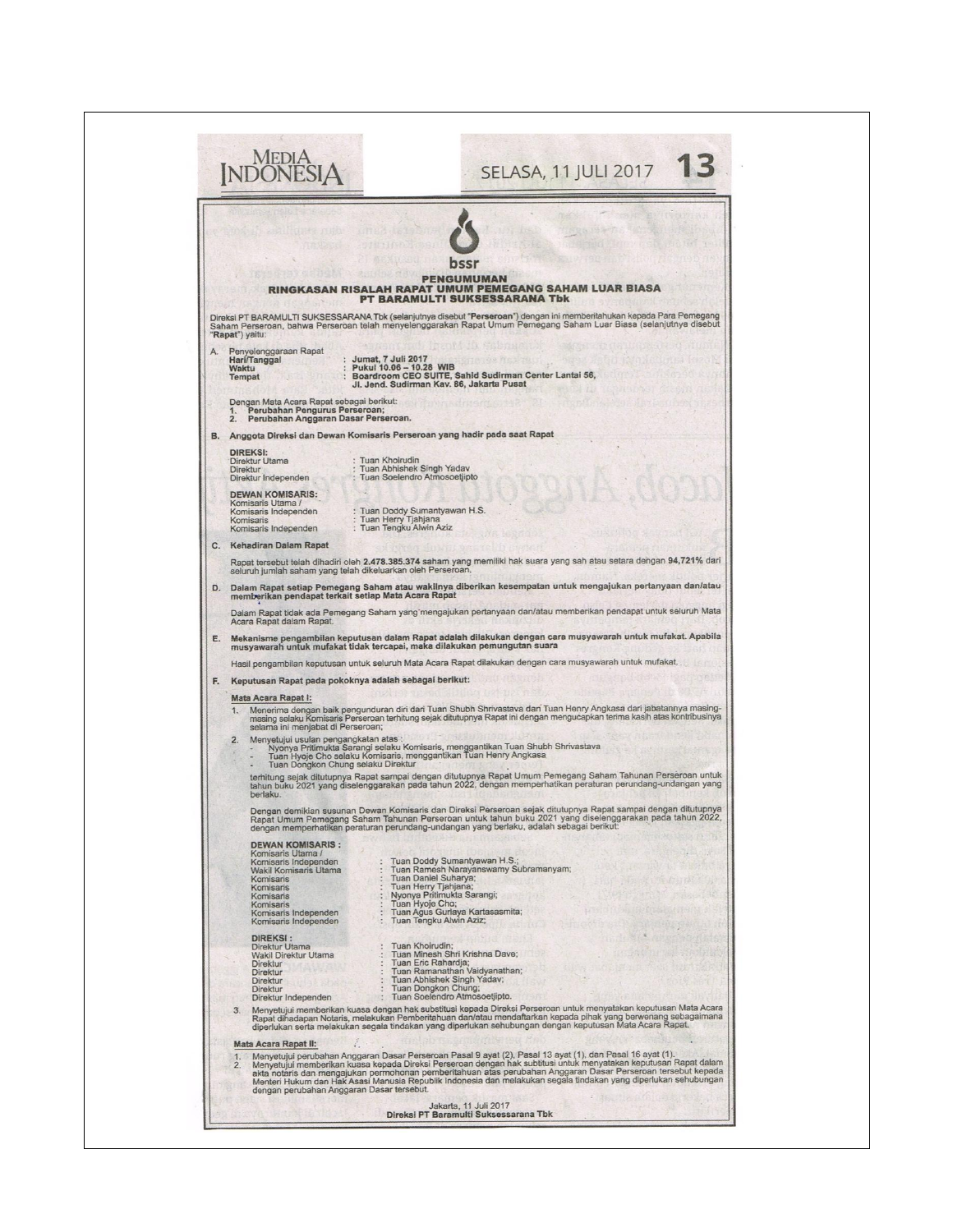| <b>MEDIA</b><br>INDONESI<br>"Rapat") yaitu:<br>Penyelenggaraan Rapat<br>A.<br>Jumat, 7 Juli 2017<br>Hari/Tanggal<br>Waktu<br>Tempat<br>Dengan Mata Acara Rapat sebagai berikut:<br>Perubahan Pengurus Perseroan;<br>2. Perubahan Anggaran Dasar Perseroan.<br>Anggota Direksi dan Dewan Komisaris Perseroan yang hadir pada saat Rapat<br><b>DIREKSI:</b><br>Direktur Utama<br>Tuan Khoirudin<br>Direktur<br>Direktur Independen<br><b>DEWAN KOMISARIS:</b><br>Komisaris Utama /<br>Komisaris Independen<br>: Tuan Herry Tjahjana<br>Komisaris<br>: Tuan Tengku Alwin Aziz<br>Komisaris Independen<br>C. Kehadiran Dalam Rapat<br>seluruh jumlah saham yang telah dikeluarkan oleh Perseroan.<br>D.<br>memberikan pendapat terkait setiap Mata Acara Rapat<br>Acara Rapat dalam Rapat.<br>E.<br>musyawarah untuk mufakat tidak tercapai, maka dilakukan pemungutan suara<br>Keputusan Rapat pada pokoknya adalah sebagai berikut:<br>F.<br>Mata Acara Rapat I:<br>1.7<br>selama ini menjabat di Perseroan;<br>Menyetujui usulan pengangkatan atas:<br>2. | <b>SELASA, 11 JULI 2017</b><br>PENGUMUMAN<br>RINGKASAN RISALAH RAPAT UMUM PEMEGANG SAHAM LUAR BIASA<br><b>PT BARAMULTI SUKSESSARANA Tbk</b><br>Direksi PT BARAMULTI SUKSESSARANA Tbk (selanjutnya disebut "Perseroan") dengan ini memberitahukan kepada Para Pemegang<br>Saham Perseroan, bahwa Perseroan telah menyelenggarakan Rapat Umum Pemegang Saham Luar Biasa (selanjutnya disebut<br>Pukul 10.06 - 10.28 WIB<br>Boardroom CEO SUITE, Sahid Sudirman Center Lantai 56,<br>Jl. Jend. Sudirman Kav. 86, Jakarta Pusat<br>Tuan Abhishek Singh Yadav<br>Tuan Soelendro Atmosoetjipto<br>: Tuan Doddy Sumantyawan H.S.<br>Rapat tersebut telah dihadiri oleh 2,478.385.374 saham yang memiliki hak suara yang sah atau setara dengan 94,721% dari<br>Dalam Rapat setiap Pemegang Saham atau wakilnya diberikan kesempatan untuk mengajukan pertanyaan dan/atau<br>Dalam Rapat tidak ada Pemegang Saham yang mengajukan pertanyaan dan/atau memberikan pendapat untuk seluruh Mata<br>Mekanisme pengambilan keputusan dalam Rapat adalah dilakukan dengan cara musyawarah untuk mufakat. Apabila<br>Hasil pengambilan keputusan untuk seluruh Mata Acara Rapat dilakukan dengan cara musyawarah untuk mufakat.<br>Menerima dengan baik pengunduran diri dari Tuan Shubh Shrivastava dan Tuan Henry Angkasa dari jabatannya masing-<br>masing selaku Komisaris Perseroan terhitung sejak ditutupnya Rapat ini dengan mengucapkan terima kasih atas kontribusinya<br>Nyonya Pritimukta Sarangi selaku Komisaris, menggantikan Tuan Shubh Shrivastava<br>Tuan Hyoje Cho selaku Komisaris, menggantikan Tuan Henry Angkasa                                                                                                                                                                                                                                                           |  |
|----------------------------------------------------------------------------------------------------------------------------------------------------------------------------------------------------------------------------------------------------------------------------------------------------------------------------------------------------------------------------------------------------------------------------------------------------------------------------------------------------------------------------------------------------------------------------------------------------------------------------------------------------------------------------------------------------------------------------------------------------------------------------------------------------------------------------------------------------------------------------------------------------------------------------------------------------------------------------------------------------------------------------------------------------------|------------------------------------------------------------------------------------------------------------------------------------------------------------------------------------------------------------------------------------------------------------------------------------------------------------------------------------------------------------------------------------------------------------------------------------------------------------------------------------------------------------------------------------------------------------------------------------------------------------------------------------------------------------------------------------------------------------------------------------------------------------------------------------------------------------------------------------------------------------------------------------------------------------------------------------------------------------------------------------------------------------------------------------------------------------------------------------------------------------------------------------------------------------------------------------------------------------------------------------------------------------------------------------------------------------------------------------------------------------------------------------------------------------------------------------------------------------------------------------------------------------------------------------------------------------------------------------------------------------------------------------------------------------------------------------------------------------------------------------------------------------------------------------------------------------------------------------------------------------------------------------|--|
| Tuan Dongkon Chung selaku Direktur<br>berlaku.<br><b>DEWAN KOMISARIS:</b><br>Komisaris Utama /<br>Komisaris Independen<br>Wakil Komisaris Utama<br>Komisaris<br>Komisaris<br>Komisaris<br>Komisaris<br>Komisaris Independen<br>Komisaris Independen<br><b>DIREKSI:</b><br>Direktur Utama<br>Wakil Direktur Utama<br>Direktur<br>Direktur<br>Direktur<br>Direktur<br>Direktur Independen<br>3.<br>Mata Acara Rapat II:<br>1.<br>2.<br>dengan perubahan Anggaran Dasar tersebut.                                                                                                                                                                                                                                                                                                                                                                                                                                                                                                                                                                           | terhitung sejak ditutupnya Rapat sampai dengan ditutupnya Rapat Umum Pemegang Saham Tahunan Perseroan untuk<br>tahun buku 2021 yang diselenggarakan pada tahun 2022, dengan memperhatikan peraturan perundang-undangan yang<br>Dengan demikian susunan Dewan Komisaris dan Direksi Perseroan sejak ditutupnya Rapat sampai deng<br>Rapat Umum Pemegang Saham Tahunan Perseroan untuk tahun buku 2021 yang diselenggarakan pada tahun 2022,<br>dengan memperhatikan peraturan perundang-undangan yang berlaku, adalah sebagai berikut:<br>: Tuan Doddy Sumantyawan H.S.;<br>Tuan Ramesh Narayanswamy Subramanyam;<br>Tuan Daniel Suharya;<br>: Tuan Herry Tjahjana;<br>: Nyonya Pritimukta Sarangi;<br>: Tuan Hyoje Cho;<br>: Tuan Agus Gurlaya Kartasasmita;<br>: Tuan Tengku Alwin Aziz;<br>Tuan Agus Gurlaya Kartasasmita;<br>Tuan Khoirudin;<br>Tuan Minesh Shri Krishna Dave;<br>Tuan Eric Rahardja;<br>Tuan Ramanathan Vaidyanathan;<br>: Tuan Abhishek Singh Yadav;<br>Tuan Dongkon Chung;<br>: Tuan Soelendro Atmosoetjipto.<br>Menyetujui memberikan kuasa dengan hak substitusi kepada Direksi Perseroan untuk menyatakan keputusan Mata Acara<br>Rapat dihadapan Notaris, melakukan Pemberitahuan dan/atau mendaftarkan kepada pihak yang berwenang sebagaimana<br>diperlukan serta melakukan segala tindakan yang diperlukan sehubungan dengan keputusan Mata Acara Rapat.<br>Menyetujui perubahan Anggaran Dasar Perseroan Pasal 9 ayat (2), Pasal 13 ayat (1), dan Pasal 16 ayat (1).<br>Menyetujui memberikan kuasa kepada Direksi Perseroan dengan hak subtitusi untuk menyatakan keputusan Rapat dalam<br>akta notaris dan mengajukan permohonan pemberitahuan atas perubahan Anggaran Dasar Perseroan tersebut kepada<br>Menteri Hukum dan Hak Asasi Manusia Republik Indonesia dan melakukan segala tindakan yang diperlukan sehubungan<br>Jakarta, 11 Juli 2017 |  |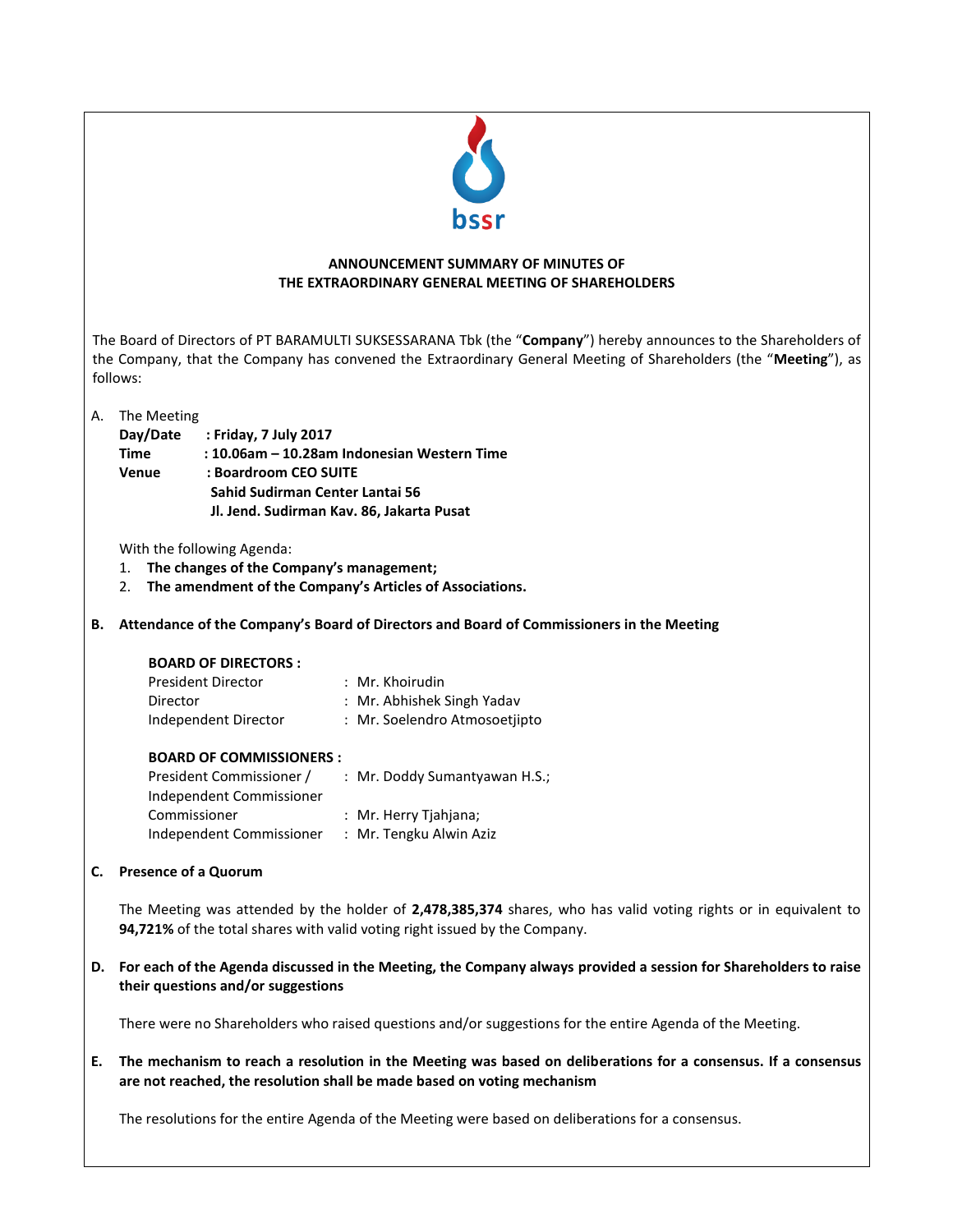

# **ANNOUNCEMENT SUMMARY OF MINUTES OF THE EXTRAORDINARY GENERAL MEETING OF SHAREHOLDERS**

The Board of Directors of PT BARAMULTI SUKSESSARANA Tbk (the "**Company**") hereby announces to the Shareholders of the Company, that the Company has convened the Extraordinary General Meeting of Shareholders (the "**Meeting**"), as follows:

A. The Meeting

| Day/Date     | : Friday, 7 July 2017                       |
|--------------|---------------------------------------------|
| Time         | : 10.06am – 10.28am Indonesian Western Time |
| <b>Venue</b> | : Boardroom CEO SUITE                       |
|              | Sahid Sudirman Center Lantai 56             |
|              | Jl. Jend. Sudirman Kav. 86, Jakarta Pusat   |

With the following Agenda:

- 1. **The changes of the Company's management;**
- 2. **The amendment of the Company's Articles of Associations.**
- **B. Attendance of the Company's Board of Directors and Board of Commissioners in the Meeting**

## **BOARD OF DIRECTORS :**

| <b>President Director</b> | : Mr. Khoirudin               |
|---------------------------|-------------------------------|
| Director                  | : Mr. Abhishek Singh Yadav    |
| Independent Director      | : Mr. Soelendro Atmosoetiipto |

# **BOARD OF COMMISSIONERS :**

| President Commissioner / | : Mr. Doddy Sumantyawan H.S.; |
|--------------------------|-------------------------------|
| Independent Commissioner |                               |
| Commissioner             | : Mr. Herry Tiahiana;         |
| Independent Commissioner | : Mr. Tengku Alwin Aziz       |

## **C. Presence of a Quorum**

The Meeting was attended by the holder of **2,478,385,374** shares, who has valid voting rights or in equivalent to **94,721%** of the total shares with valid voting right issued by the Company.

**D. For each of the Agenda discussed in the Meeting, the Company always provided a session for Shareholders to raise their questions and/or suggestions**

There were no Shareholders who raised questions and/or suggestions for the entire Agenda of the Meeting.

**E. The mechanism to reach a resolution in the Meeting was based on deliberations for a consensus. If a consensus are not reached, the resolution shall be made based on voting mechanism**

The resolutions for the entire Agenda of the Meeting were based on deliberations for a consensus.